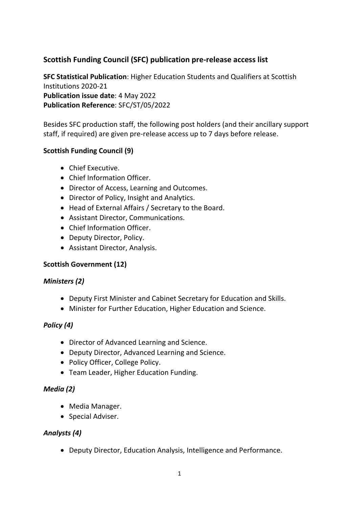# **Scottish Funding Council (SFC) publication pre-release access list**

**SFC Statistical Publication**: Higher Education Students and Qualifiers at Scottish Institutions 2020-21 **Publication issue date**: 4 May 2022 **Publication Reference**: SFC/ST/05/2022

Besides SFC production staff, the following post holders (and their ancillary support staff, if required) are given pre-release access up to 7 days before release.

#### **Scottish Funding Council (9)**

- Chief Executive.
- Chief Information Officer.
- Director of Access, Learning and Outcomes.
- Director of Policy, Insight and Analytics.
- Head of External Affairs / Secretary to the Board.
- Assistant Director, Communications.
- Chief Information Officer.
- Deputy Director, Policy.
- Assistant Director, Analysis.

#### **Scottish Government (12)**

#### *Ministers (2)*

- Deputy First Minister and Cabinet Secretary for Education and Skills.
- Minister for Further Education, Higher Education and Science.

#### *Policy (4)*

- Director of Advanced Learning and Science.
- Deputy Director, Advanced Learning and Science.
- Policy Officer, College Policy.
- Team Leader, Higher Education Funding.

#### *Media (2)*

- Media Manager.
- Special Adviser.

#### *Analysts (4)*

• Deputy Director, Education Analysis, Intelligence and Performance.